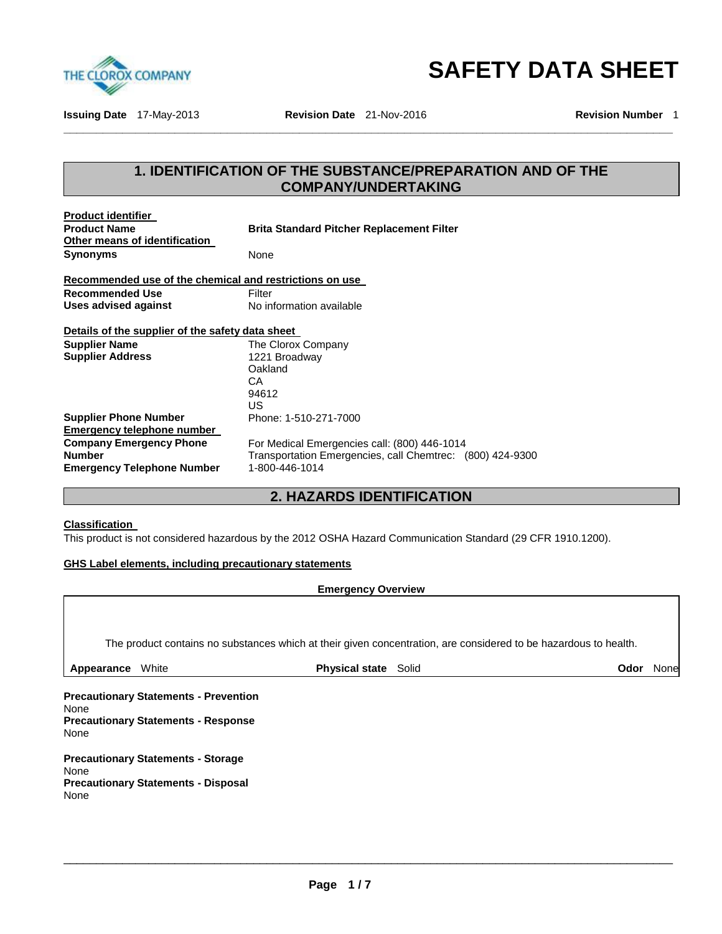

**SAFETY DATA SHEET** 

**Issuing Date** 17-May-2013 **Revision Date** 21-Nov-2016 **Revision Number** 1

# **1. IDENTIFICATION OF THE SUBSTANCE/PREPARATION AND OF THE COMPANY/UNDERTAKING**

**\_\_\_\_\_\_\_\_\_\_\_\_\_\_\_\_\_\_\_\_\_\_\_\_\_\_\_\_\_\_\_\_\_\_\_\_\_\_\_\_\_\_\_\_\_\_\_\_\_\_\_\_\_\_\_\_\_\_\_\_\_\_\_\_\_\_\_\_\_\_\_\_\_\_\_\_\_\_\_\_\_\_\_\_\_\_\_\_\_\_\_\_\_** 

| <b>Product identifier</b><br><b>Product Name</b><br>Other means of identification | <b>Brita Standard Pitcher Replacement Filter</b>          |
|-----------------------------------------------------------------------------------|-----------------------------------------------------------|
| Synonyms                                                                          | None                                                      |
| Recommended use of the chemical and restrictions on use                           |                                                           |
| <b>Recommended Use</b>                                                            | Filter                                                    |
| Uses advised against                                                              | No information available                                  |
| Details of the supplier of the safety data sheet                                  |                                                           |
| <b>Supplier Name</b>                                                              | The Clorox Company                                        |
| <b>Supplier Address</b>                                                           | 1221 Broadway                                             |
|                                                                                   | Oakland                                                   |
|                                                                                   | CА                                                        |
|                                                                                   | 94612                                                     |
|                                                                                   | US                                                        |
| <b>Supplier Phone Number</b>                                                      | Phone: 1-510-271-7000                                     |
| <b>Emergency telephone number</b>                                                 |                                                           |
| <b>Company Emergency Phone</b>                                                    | For Medical Emergencies call: (800) 446-1014              |
| <b>Number</b>                                                                     | Transportation Emergencies, call Chemtrec: (800) 424-9300 |
| <b>Emergency Telephone Number</b>                                                 | 1-800-446-1014                                            |

# **2. HAZARDS IDENTIFICATION**

#### **Classification**

This product is not considered hazardous by the 2012 OSHA Hazard Communication Standard (29 CFR 1910.1200).

## **GHS Label elements, including precautionary statements**

**Emergency Overview** 

The product contains no substances which at their given concentration, are considered to be hazardous to health.

**Appearance** White **Physical state** Solid **Odor** None

**Precautionary Statements - Prevention** None **Precautionary Statements - Response** None

**Precautionary Statements - Storage** None **Precautionary Statements - Disposal** None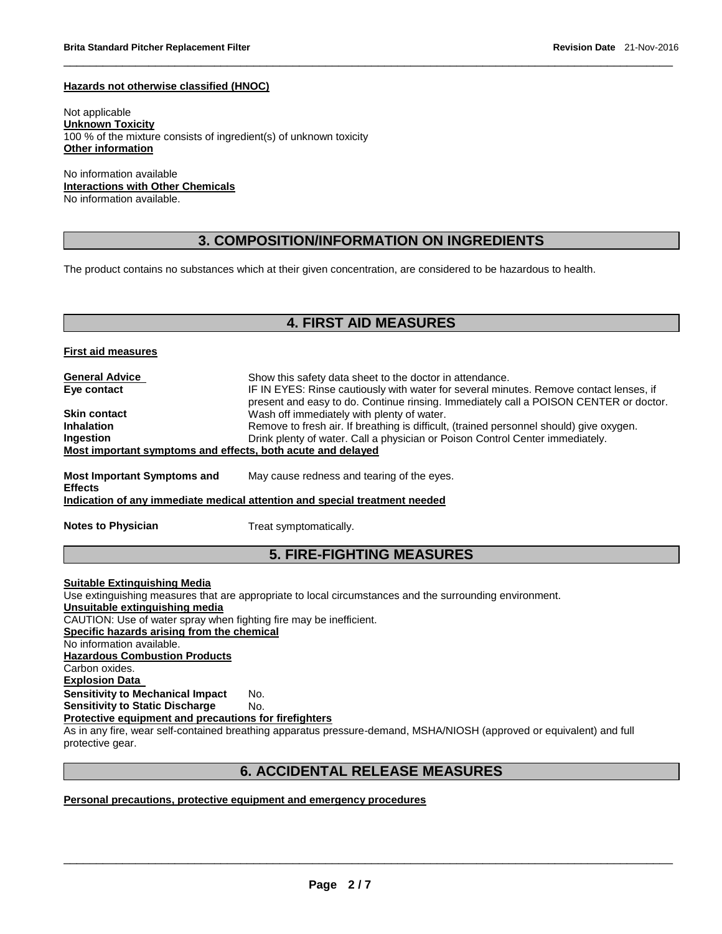#### **Hazards not otherwise classified (HNOC)**

Not applicable **Unknown Toxicity** 100 % of the mixture consists of ingredient(s) of unknown toxicity **Other information**

No information available **Interactions with Other Chemicals** No information available.

## **3. COMPOSITION/INFORMATION ON INGREDIENTS**

\_\_\_\_\_\_\_\_\_\_\_\_\_\_\_\_\_\_\_\_\_\_\_\_\_\_\_\_\_\_\_\_\_\_\_\_\_\_\_\_\_\_\_\_\_\_\_\_\_\_\_\_\_\_\_\_\_\_\_\_\_\_\_\_\_\_\_\_\_\_\_\_\_\_\_\_\_\_\_\_\_\_\_\_\_\_\_\_\_\_\_\_\_

The product contains no substances which at their given concentration, are considered to be hazardous to health.

## **4. FIRST AID MEASURES**

**First aid measures**

| <b>General Advice</b><br>Eye contact                        | Show this safety data sheet to the doctor in attendance.<br>IF IN EYES: Rinse cautiously with water for several minutes. Remove contact lenses, if<br>present and easy to do. Continue rinsing. Immediately call a POISON CENTER or doctor. |
|-------------------------------------------------------------|---------------------------------------------------------------------------------------------------------------------------------------------------------------------------------------------------------------------------------------------|
| <b>Skin contact</b>                                         | Wash off immediately with plenty of water.                                                                                                                                                                                                  |
| <b>Inhalation</b>                                           | Remove to fresh air. If breathing is difficult, (trained personnel should) give oxygen.                                                                                                                                                     |
| <b>Ingestion</b>                                            | Drink plenty of water. Call a physician or Poison Control Center immediately.                                                                                                                                                               |
| Most important symptoms and effects, both acute and delayed |                                                                                                                                                                                                                                             |
| <b>Most Important Symptoms and</b><br><b>Effects</b>        | May cause redness and tearing of the eyes.                                                                                                                                                                                                  |

**Indication of any immediate medical attention and special treatment needed**

**Notes to Physician**  Treat symptomatically.

# **5. FIRE-FIGHTING MEASURES**

**Suitable Extinguishing Media** Use extinguishing measures that are appropriate to local circumstances and the surrounding environment. **Unsuitable extinguishing media** CAUTION: Use of water spray when fighting fire may be inefficient. **Specific hazards arising from the chemical** No information available. **Hazardous Combustion Products** Carbon oxides. **Explosion Data Sensitivity to Mechanical Impact** No. **Sensitivity to Static Discharge Mo. Protective equipment and precautions for firefighters** As in any fire, wear self-contained breathing apparatus pressure-demand, MSHA/NIOSH (approved or equivalent) and full

protective gear.

## **6. ACCIDENTAL RELEASE MEASURES**

\_\_\_\_\_\_\_\_\_\_\_\_\_\_\_\_\_\_\_\_\_\_\_\_\_\_\_\_\_\_\_\_\_\_\_\_\_\_\_\_\_\_\_\_\_\_\_\_\_\_\_\_\_\_\_\_\_\_\_\_\_\_\_\_\_\_\_\_\_\_\_\_\_\_\_\_\_\_\_\_\_\_\_\_\_\_\_\_\_\_\_\_\_

**Personal precautions, protective equipment and emergency procedures**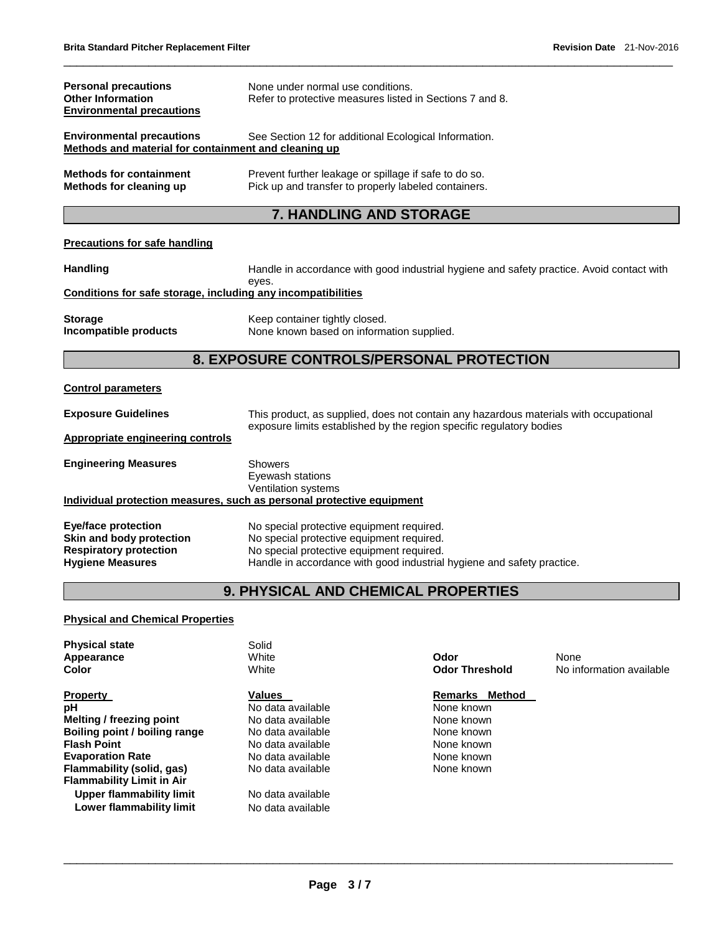| <b>Personal precautions</b><br><b>Other Information</b><br><b>Environmental precautions</b> | None under normal use conditions.<br>Refer to protective measures listed in Sections 7 and 8.                 |
|---------------------------------------------------------------------------------------------|---------------------------------------------------------------------------------------------------------------|
| <b>Environmental precautions</b><br>Methods and material for containment and cleaning up    | See Section 12 for additional Ecological Information.                                                         |
| <b>Methods for containment</b><br>Methods for cleaning up                                   | Prevent further leakage or spillage if safe to do so.<br>Pick up and transfer to properly labeled containers. |

# **7. HANDLING AND STORAGE**

\_\_\_\_\_\_\_\_\_\_\_\_\_\_\_\_\_\_\_\_\_\_\_\_\_\_\_\_\_\_\_\_\_\_\_\_\_\_\_\_\_\_\_\_\_\_\_\_\_\_\_\_\_\_\_\_\_\_\_\_\_\_\_\_\_\_\_\_\_\_\_\_\_\_\_\_\_\_\_\_\_\_\_\_\_\_\_\_\_\_\_\_\_

## **Precautions for safe handling**

| <b>Handling</b>                                              | Handle in accordance with good industrial hygiene and safety practice. Avoid contact with<br>eves. |
|--------------------------------------------------------------|----------------------------------------------------------------------------------------------------|
| Conditions for safe storage, including any incompatibilities |                                                                                                    |
| <b>Storage</b><br>Incompatible products                      | Keep container tightly closed.<br>None known based on information supplied.                        |

## **8. EXPOSURE CONTROLS/PERSONAL PROTECTION**

#### **Control parameters**

| <b>Exposure Guidelines</b>       | This product, as supplied, does not contain any hazardous materials with occupational<br>exposure limits established by the region specific regulatory bodies |
|----------------------------------|---------------------------------------------------------------------------------------------------------------------------------------------------------------|
| Appropriate engineering controls |                                                                                                                                                               |
| <b>Engineering Measures</b>      | Showers<br>Eyewash stations<br><b>Ventilation systems</b>                                                                                                     |
|                                  | Individual protection measures, such as personal protective equipment                                                                                         |
| <b>Eye/face protection</b>       | No special protective equipment required.                                                                                                                     |
| Skin and body protection         | No special protective equipment required.                                                                                                                     |
| <b>Respiratory protection</b>    | No special protective equipment required.                                                                                                                     |
| <b>Hygiene Measures</b>          | Handle in accordance with good industrial hygiene and safety practice.                                                                                        |

# **9. PHYSICAL AND CHEMICAL PROPERTIES**

#### **Physical and Chemical Properties**

| <b>Physical state</b><br>Appearance<br>Color | Solid<br>White<br>White | Odor<br><b>Odor Threshold</b> | None<br>No information available |
|----------------------------------------------|-------------------------|-------------------------------|----------------------------------|
| <b>Property</b>                              | <b>Values</b>           | <b>Remarks</b><br>Method      |                                  |
| рH                                           | No data available       | None known                    |                                  |
| Melting / freezing point                     | No data available       | None known                    |                                  |
| Boiling point / boiling range                | No data available       | None known                    |                                  |
| <b>Flash Point</b>                           | No data available       | None known                    |                                  |
| <b>Evaporation Rate</b>                      | No data available       | None known                    |                                  |
| Flammability (solid, gas)                    | No data available       | None known                    |                                  |
| <b>Flammability Limit in Air</b>             |                         |                               |                                  |
| Upper flammability limit                     | No data available       |                               |                                  |
| Lower flammability limit                     | No data available       |                               |                                  |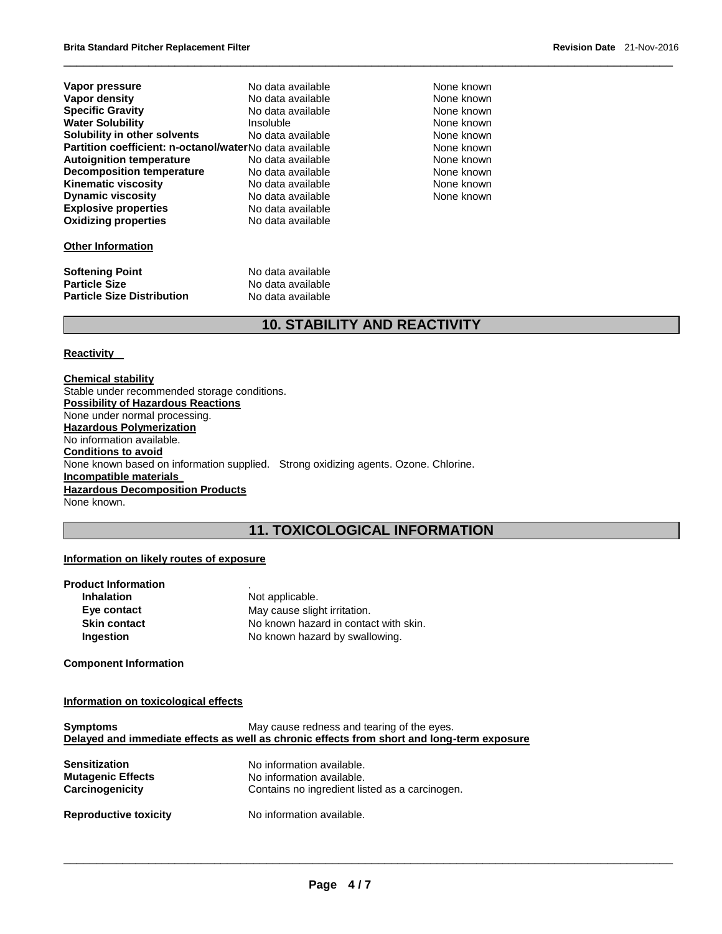| Vapor pressure                                          | No data available | None known |
|---------------------------------------------------------|-------------------|------------|
| Vapor density                                           | No data available | None known |
| <b>Specific Gravity</b>                                 | No data available | None known |
| <b>Water Solubility</b>                                 | <b>Insoluble</b>  | None known |
| Solubility in other solvents                            | No data available | None known |
| Partition coefficient: n-octanol/waterNo data available |                   | None known |
| <b>Autoignition temperature</b>                         | No data available | None known |
| <b>Decomposition temperature</b>                        | No data available | None known |
| <b>Kinematic viscosity</b>                              | No data available | None known |
| <b>Dynamic viscosity</b>                                | No data available | None known |
| <b>Explosive properties</b>                             | No data available |            |
| <b>Oxidizing properties</b>                             | No data available |            |
|                                                         |                   |            |

#### **None known None known None known None known None known None known None known None known None known**

## **Other Information**

| <b>Softening Point</b>            | No data available |
|-----------------------------------|-------------------|
| <b>Particle Size</b>              | No data available |
| <b>Particle Size Distribution</b> | No data available |

# **10. STABILITY AND REACTIVITY**

\_\_\_\_\_\_\_\_\_\_\_\_\_\_\_\_\_\_\_\_\_\_\_\_\_\_\_\_\_\_\_\_\_\_\_\_\_\_\_\_\_\_\_\_\_\_\_\_\_\_\_\_\_\_\_\_\_\_\_\_\_\_\_\_\_\_\_\_\_\_\_\_\_\_\_\_\_\_\_\_\_\_\_\_\_\_\_\_\_\_\_\_\_

#### **Reactivity**

**Chemical stability** Stable under recommended storage conditions. **Possibility of Hazardous Reactions** None under normal processing. **Hazardous Polymerization** No information available. **Conditions to avoid** None known based on information supplied. Strong oxidizing agents. Ozone. Chlorine. **Incompatible materials Hazardous Decomposition Products** None known.

# **11. TOXICOLOGICAL INFORMATION**

## **Information on likely routes of exposure**

| <b>Product Information</b> |                                       |
|----------------------------|---------------------------------------|
| <b>Inhalation</b>          | Not applicable.                       |
| Eye contact                | May cause slight irritation.          |
| <b>Skin contact</b>        | No known hazard in contact with skin. |
| Ingestion                  | No known hazard by swallowing.        |
|                            |                                       |

**Component Information** 

## **Information on toxicological effects**

| <b>Symptoms</b>              | May cause redness and tearing of the eyes.                                                 |
|------------------------------|--------------------------------------------------------------------------------------------|
|                              | Delayed and immediate effects as well as chronic effects from short and long-term exposure |
| <b>Sensitization</b>         | No information available.                                                                  |
| <b>Mutagenic Effects</b>     | No information available.                                                                  |
| Carcinogenicity              | Contains no ingredient listed as a carcinogen.                                             |
| <b>Reproductive toxicity</b> | No information available.                                                                  |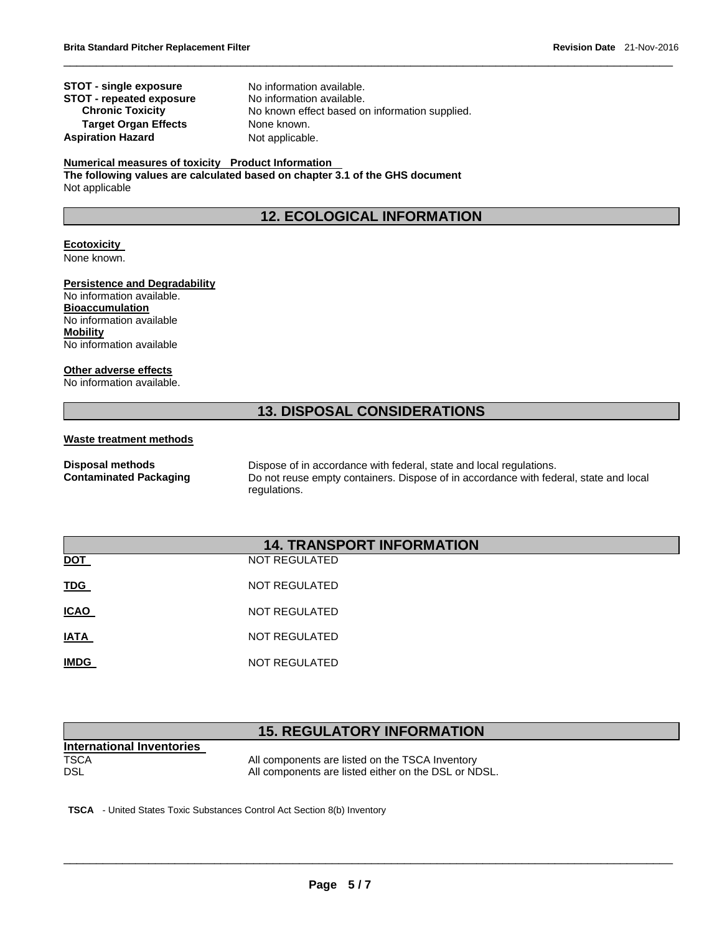**STOT - single exposure** No information available. **STOT - repeated exposure No information available.**<br>**Chronic Toxicity No known effect based of Target Organ Effects** None known. **Aspiration Hazard**  Not applicable.

No known effect based on information supplied.

\_\_\_\_\_\_\_\_\_\_\_\_\_\_\_\_\_\_\_\_\_\_\_\_\_\_\_\_\_\_\_\_\_\_\_\_\_\_\_\_\_\_\_\_\_\_\_\_\_\_\_\_\_\_\_\_\_\_\_\_\_\_\_\_\_\_\_\_\_\_\_\_\_\_\_\_\_\_\_\_\_\_\_\_\_\_\_\_\_\_\_\_\_

#### **Numerical measures of toxicity Product Information**

**The following values are calculated based on chapter 3.1 of the GHS document** Not applicable

# **12. ECOLOGICAL INFORMATION**

## **Ecotoxicity**

None known.

#### **Persistence and Degradability**

No information available. **Bioaccumulation** No information available **Mobility** No information available

#### **Other adverse effects**

No information available.

# **13. DISPOSAL CONSIDERATIONS**

#### **Waste treatment methods**

**Disposal methods** Dispose of in accordance with federal, state and local regulations. **Contaminated Packaging** Do not reuse empty containers. Dispose of in accordance with federal, state and local regulations.

| <b>14. TRANSPORT INFORMATION</b> |                      |  |
|----------------------------------|----------------------|--|
| <b>DOT</b>                       | <b>NOT REGULATED</b> |  |
| <b>TDG</b>                       | NOT REGULATED        |  |
| <b>ICAO</b>                      | NOT REGULATED        |  |
| <b>IATA</b>                      | NOT REGULATED        |  |
| <b>IMDG</b>                      | NOT REGULATED        |  |

# **15. REGULATORY INFORMATION**

\_\_\_\_\_\_\_\_\_\_\_\_\_\_\_\_\_\_\_\_\_\_\_\_\_\_\_\_\_\_\_\_\_\_\_\_\_\_\_\_\_\_\_\_\_\_\_\_\_\_\_\_\_\_\_\_\_\_\_\_\_\_\_\_\_\_\_\_\_\_\_\_\_\_\_\_\_\_\_\_\_\_\_\_\_\_\_\_\_\_\_\_\_

| International Inventories |                                                      |
|---------------------------|------------------------------------------------------|
| <b>TSCA</b>               | All components are listed on the TSCA Inventory      |
| DSL                       | All components are listed either on the DSL or NDSL. |

**TSCA** - United States Toxic Substances Control Act Section 8(b) Inventory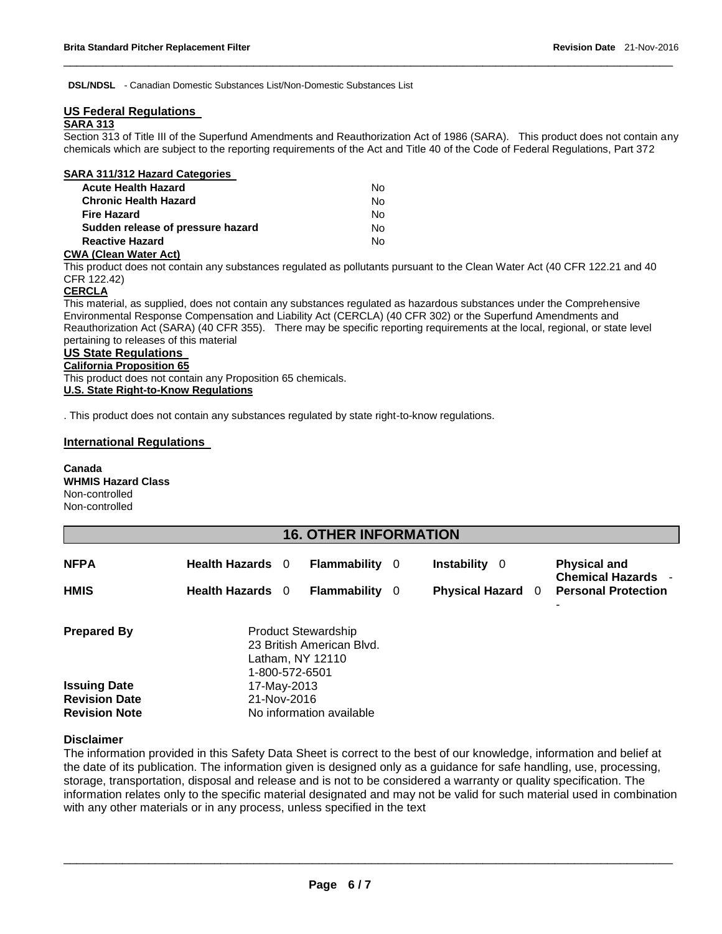**DSL/NDSL** - Canadian Domestic Substances List/Non-Domestic Substances List

## **US Federal Regulations**

## **SARA 313**

Section 313 of Title III of the Superfund Amendments and Reauthorization Act of 1986 (SARA). This product does not contain any chemicals which are subject to the reporting requirements of the Act and Title 40 of the Code of Federal Regulations, Part 372

\_\_\_\_\_\_\_\_\_\_\_\_\_\_\_\_\_\_\_\_\_\_\_\_\_\_\_\_\_\_\_\_\_\_\_\_\_\_\_\_\_\_\_\_\_\_\_\_\_\_\_\_\_\_\_\_\_\_\_\_\_\_\_\_\_\_\_\_\_\_\_\_\_\_\_\_\_\_\_\_\_\_\_\_\_\_\_\_\_\_\_\_\_

| SARA 311/312 Hazard Categories    |    |
|-----------------------------------|----|
| <b>Acute Health Hazard</b>        | N٥ |
| <b>Chronic Health Hazard</b>      | No |
| <b>Fire Hazard</b>                | Nο |
| Sudden release of pressure hazard | Nο |
| <b>Reactive Hazard</b>            | N٥ |
|                                   |    |

#### **CWA (Clean Water Act)**

This product does not contain any substances regulated as pollutants pursuant to the Clean Water Act (40 CFR 122.21 and 40 CFR 122.42)

## **CERCLA**

This material, as supplied, does not contain any substances regulated as hazardous substances under the Comprehensive Environmental Response Compensation and Liability Act (CERCLA) (40 CFR 302) or the Superfund Amendments and Reauthorization Act (SARA) (40 CFR 355). There may be specific reporting requirements at the local, regional, or state level pertaining to releases of this material

# **US State Regulations**

#### **California Proposition 65**

This product does not contain any Proposition 65 chemicals. **U.S. State Right-to-Know Regulations**

. This product does not contain any substances regulated by state right-to-know regulations.

## **International Regulations**

**Canada WHMIS Hazard Class** Non-controlled Non-controlled

| <b>16. OTHER INFORMATION</b>                                        |                                                                                               |  |                          |  |                          |                                                  |  |
|---------------------------------------------------------------------|-----------------------------------------------------------------------------------------------|--|--------------------------|--|--------------------------|--------------------------------------------------|--|
| <b>NFPA</b>                                                         | Health Hazards 0                                                                              |  | <b>Flammability</b> 0    |  | <b>Instability</b> 0     | <b>Physical and</b><br><b>Chemical Hazards -</b> |  |
| <b>HMIS</b>                                                         | Health Hazards 0                                                                              |  | <b>Flammability</b> 0    |  | <b>Physical Hazard</b> 0 | <b>Personal Protection</b>                       |  |
|                                                                     |                                                                                               |  |                          |  |                          |                                                  |  |
| <b>Prepared By</b>                                                  | <b>Product Stewardship</b><br>23 British American Blvd.<br>Latham, NY 12110<br>1-800-572-6501 |  |                          |  |                          |                                                  |  |
| <b>Issuing Date</b><br><b>Revision Date</b><br><b>Revision Note</b> | 17-May-2013<br>21-Nov-2016                                                                    |  | No information available |  |                          |                                                  |  |

#### **Disclaimer**

The information provided in this Safety Data Sheet is correct to the best of our knowledge, information and belief at the date of its publication. The information given is designed only as a guidance for safe handling, use, processing, storage, transportation, disposal and release and is not to be considered a warranty or quality specification. The information relates only to the specific material designated and may not be valid for such material used in combination with any other materials or in any process, unless specified in the text